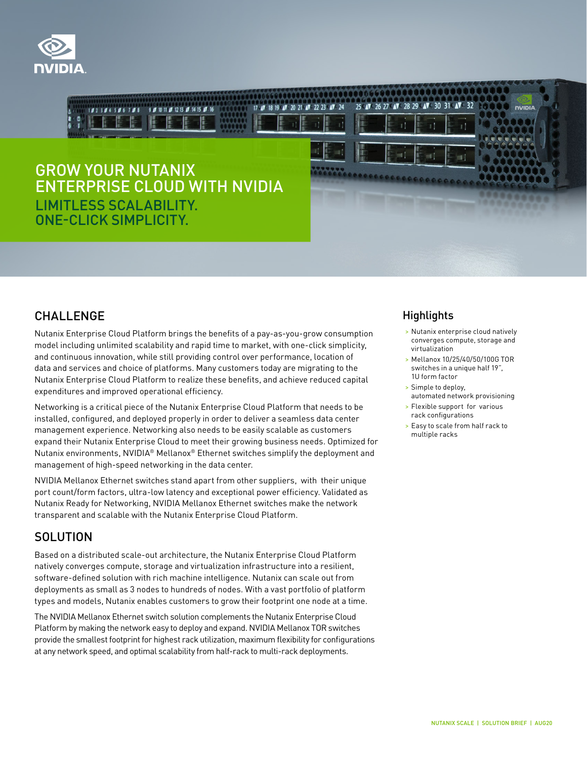



#### CHALLENGE

Nutanix Enterprise Cloud Platform brings the benefits of a pay-as-you-grow consumption model including unlimited scalability and rapid time to market, with one-click simplicity, and continuous innovation, while still providing control over performance, location of data and services and choice of platforms. Many customers today are migrating to the Nutanix Enterprise Cloud Platform to realize these benefits, and achieve reduced capital expenditures and improved operational efficiency.

Networking is a critical piece of the Nutanix Enterprise Cloud Platform that needs to be installed, configured, and deployed properly in order to deliver a seamless data center management experience. Networking also needs to be easily scalable as customers expand their Nutanix Enterprise Cloud to meet their growing business needs. Optimized for Nutanix environments, NVIDIA® Mellanox® Ethernet switches simplify the deployment and management of high-speed networking in the data center.

NVIDIA Mellanox Ethernet switches stand apart from other suppliers, with their unique port count/form factors, ultra-low latency and exceptional power efficiency. Validated as Nutanix Ready for Networking, NVIDIA Mellanox Ethernet switches make the network transparent and scalable with the Nutanix Enterprise Cloud Platform.

# **SOLUTION**

Based on a distributed scale-out architecture, the Nutanix Enterprise Cloud Platform natively converges compute, storage and virtualization infrastructure into a resilient, software-defined solution with rich machine intelligence. Nutanix can scale out from deployments as small as 3 nodes to hundreds of nodes. With a vast portfolio of platform types and models, Nutanix enables customers to grow their footprint one node at a time.

The NVIDIA Mellanox Ethernet switch solution complements the Nutanix Enterprise Cloud Platform by making the network easy to deploy and expand. NVIDIA Mellanox TOR switches provide the smallest footprint for highest rack utilization, maximum flexibility for configurations at any network speed, and optimal scalability from half-rack to multi-rack deployments.

## **Highlights**

- > Nutanix enterprise cloud natively converges compute, storage and virtualization
- > Mellanox 10/25/40/50/100G TOR switches in a unique half 19", 1U form factor
- > Simple to deploy, automated network provisioning
- > Flexible support for various rack configurations
- > Easy to scale from half rack to multiple racks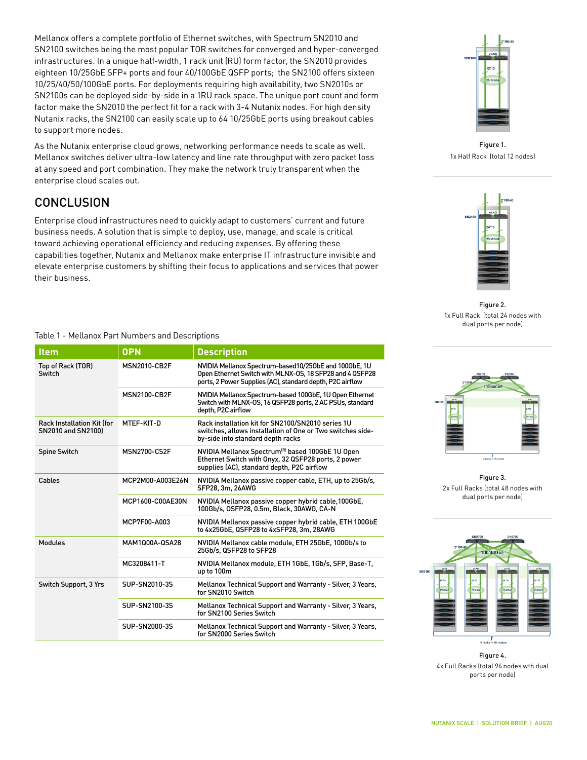Mellanox offers a complete portfolio of Ethernet switches, with Spectrum SN2010 and SN2100 switches being the most popular TOR switches for converged and hyper-converged infrastructures. In a unique half-width, 1 rack unit (RU) form factor, the SN2010 provides eighteen 10/25GbE SFP+ ports and four 40/100GbE QSFP ports; the SN2100 offers sixteen 10/25/40/50/100GbE ports. For deployments requiring high availability, two SN2010s or SN2100s can be deployed side-by-side in a 1RU rack space. The unique port count and form factor make the SN2010 the perfect fit for a rack with 3-4 Nutanix nodes. For high density Nutanix racks, the SN2100 can easily scale up to 64 10/25GbE ports using breakout cables to support more nodes.

As the Nutanix enterprise cloud grows, networking performance needs to scale as well. Mellanox switches deliver ultra-low latency and line rate throughput with zero packet loss at any speed and port combination. They make the network truly transparent when the enterprise cloud scales out.

## **CONCLUSION**

Enterprise cloud infrastructures need to quickly adapt to customers' current and future business needs. A solution that is simple to deploy, use, manage, and scale is critical toward achieving operational efficiency and reducing expenses. By offering these capabilities together, Nutanix and Mellanox make enterprise IT infrastructure invisible and elevate enterprise customers by shifting their focus to applications and services that power their business.

#### Table 1 - Mellanox Part Numbers and Descriptions

| <b>Item</b>                                                    | <b>OPN</b>          | <b>Description</b>                                                                                                                                                             |
|----------------------------------------------------------------|---------------------|--------------------------------------------------------------------------------------------------------------------------------------------------------------------------------|
| Top of Rack (TOR)<br>Switch                                    | <b>MSN2010-CB2F</b> | NVIDIA Mellanox Spectrum-based10/25GbE and 100GbE, 1U<br>Open Ethernet Switch with MLNX-OS, 18 SFP28 and 4 QSFP28<br>ports, 2 Power Supplies (AC), standard depth, P2C airflow |
|                                                                | <b>MSN2100-CB2F</b> | NVIDIA Mellanox Spectrum-based 100GbE, 1U Open Ethernet<br>Switch with MLNX-OS, 16 QSFP28 ports, 2 AC PSUs, standard<br>depth, P2C airflow                                     |
| <b>Rack Installation Kit ffor</b><br><b>SN2010 and SN21001</b> | MTFF-KIT-D          | Rack installation kit for SN2100/SN2010 series 1U<br>switches, allows installation of One or Two switches side-<br>by-side into standard depth racks                           |
| <b>Spine Switch</b>                                            | <b>MSN2700-CS2F</b> | NVIDIA Mellanox Spectrum <sup>(R)</sup> based 100GbE 1U Open<br>Ethernet Switch with Onyx, 32 QSFP28 ports, 2 power<br>supplies (AC), standard depth, P2C airflow              |
| Cables                                                         | MCP2M00-A003E26N    | NVIDIA Mellanox passive copper cable, ETH, up to 25Gb/s,<br>SFP28, 3m, 26AWG                                                                                                   |
|                                                                | MCP1600-C00AE30N    | NVIDIA Mellanox passive copper hybrid cable, 100GbE,<br>100Gb/s, QSFP28, 0.5m, Black, 30AWG, CA-N                                                                              |
|                                                                | MCP7F00-A003        | NVIDIA Mellanox passive copper hybrid cable, ETH 100GbE<br>to 4x25GbE, QSFP28 to 4xSFP28, 3m, 28AWG                                                                            |
| Modules                                                        | MAM1000A-0SA28      | NVIDIA Mellanox cable module, ETH 25GbE, 100Gb/s to<br>25Gb/s. QSFP28 to SFP28                                                                                                 |
|                                                                | MC3208411-T         | NVIDIA Mellanox module, ETH 1GbE, 1Gb/s, SFP, Base-T,<br>up to 100m                                                                                                            |
| Switch Support, 3 Yrs                                          | SUP-SN2010-3S       | Mellanox Technical Support and Warranty - Silver, 3 Years,<br>for SN2010 Switch                                                                                                |
|                                                                | SUP-SN2100-3S       | Mellanox Technical Support and Warranty - Silver, 3 Years,<br>for SN2100 Series Switch                                                                                         |
|                                                                | SUP-SN2000-3S       | Mellanox Technical Support and Warranty - Silver, 3 Years,<br>for SN2000 Series Switch                                                                                         |



Figure 1. 1x Half Rack (total 12 nodes)



Figure 2. 1x Full Rack (total 24 nodes with dual ports per node)



Figure 3. 2x Full Racks (total 48 nodes with dual ports per node)



Figure 4. 4x Full Racks (total 96 nodes wth dual ports per node)